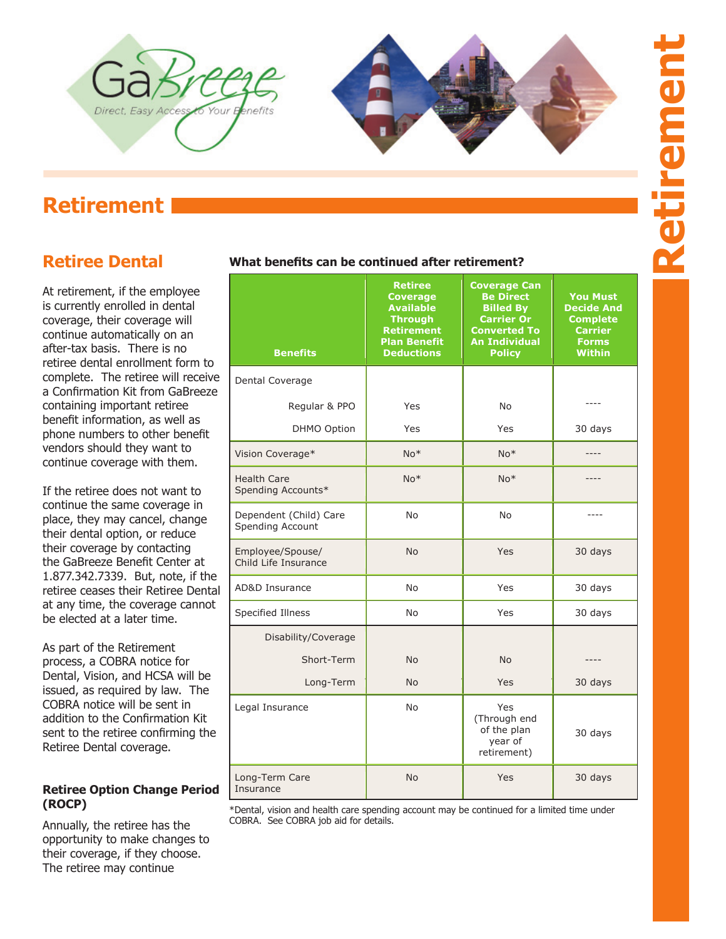



# **Retirement**

# **Retiree Dental**

At retirement, if the employee is currently enrolled in dental coverage, their coverage will continue automatically on an after-tax basis. There is no retiree dental enrollment form to complete. The retiree will receive a Confirmation Kit from GaBreeze containing important retiree benefit information, as well as phone numbers to other benefit vendors should they want to continue coverage with them.

If the retiree does not want to continue the same coverage in place, they may cancel, change their dental option, or reduce their coverage by contacting the GaBreeze Benefit Center at 1.877.342.7339. But, note, if the retiree ceases their Retiree Dental at any time, the coverage cannot be elected at a later time.

As part of the Retirement process, a COBRA notice for Dental, Vision, and HCSA will be issued, as required by law. The COBRA notice will be sent in addition to the Confirmation Kit sent to the retiree confirming the Retiree Dental coverage.

#### **Retiree Option Change Period (ROCP)**

Annually, the retiree has the opportunity to make changes to their coverage, if they choose. The retiree may continue

## **What benefits can be continued after retirement?**

| <b>Benefits</b>                            | <b>Retiree</b><br><b>Coverage</b><br><b>Available</b><br><b>Through</b><br><b>Retirement</b><br><b>Plan Benefit</b><br><b>Deductions</b> | <b>Coverage Can</b><br><b>Be Direct</b><br><b>Billed By</b><br><b>Carrier Or</b><br><b>Converted To</b><br><b>An Individual</b><br><b>Policy</b> | <b>You Must</b><br><b>Decide And</b><br><b>Complete</b><br>Carrier<br><b>Forms</b><br><b>Within</b> |
|--------------------------------------------|------------------------------------------------------------------------------------------------------------------------------------------|--------------------------------------------------------------------------------------------------------------------------------------------------|-----------------------------------------------------------------------------------------------------|
| Dental Coverage                            |                                                                                                                                          |                                                                                                                                                  |                                                                                                     |
| Regular & PPO                              | Yes                                                                                                                                      | No                                                                                                                                               |                                                                                                     |
| <b>DHMO Option</b>                         | Yes                                                                                                                                      | Yes                                                                                                                                              | 30 days                                                                                             |
| Vision Coverage*                           | $No*$                                                                                                                                    | $No*$                                                                                                                                            |                                                                                                     |
| <b>Health Care</b><br>Spending Accounts*   | $No*$                                                                                                                                    | $No*$                                                                                                                                            |                                                                                                     |
| Dependent (Child) Care<br>Spending Account | <b>No</b>                                                                                                                                | No                                                                                                                                               |                                                                                                     |
| Employee/Spouse/<br>Child Life Insurance   | <b>No</b>                                                                                                                                | Yes                                                                                                                                              | 30 days                                                                                             |
| <b>AD&amp;D Insurance</b>                  | <b>No</b>                                                                                                                                | Yes                                                                                                                                              | 30 days                                                                                             |
| Specified Illness                          | No                                                                                                                                       | Yes                                                                                                                                              | 30 days                                                                                             |
| Disability/Coverage                        |                                                                                                                                          |                                                                                                                                                  |                                                                                                     |
| Short-Term                                 | <b>No</b>                                                                                                                                | <b>No</b>                                                                                                                                        |                                                                                                     |
| Long-Term                                  | <b>No</b>                                                                                                                                | Yes                                                                                                                                              | 30 days                                                                                             |
| Legal Insurance                            | <b>No</b>                                                                                                                                | Yes<br>(Through end<br>of the plan<br>year of<br>retirement)                                                                                     | 30 days                                                                                             |
| Long-Term Care<br>Insurance                | <b>No</b>                                                                                                                                | Yes                                                                                                                                              | 30 days                                                                                             |

COBRA. See COBRA job aid for details. The continued for a limited time under COBRA. See COBRA job aid for details. \*Dental, vision and health care spending account may be continued for a limited time under

It is the responsibility of the retiree to contact the vendor directly within the specified timeframe if they